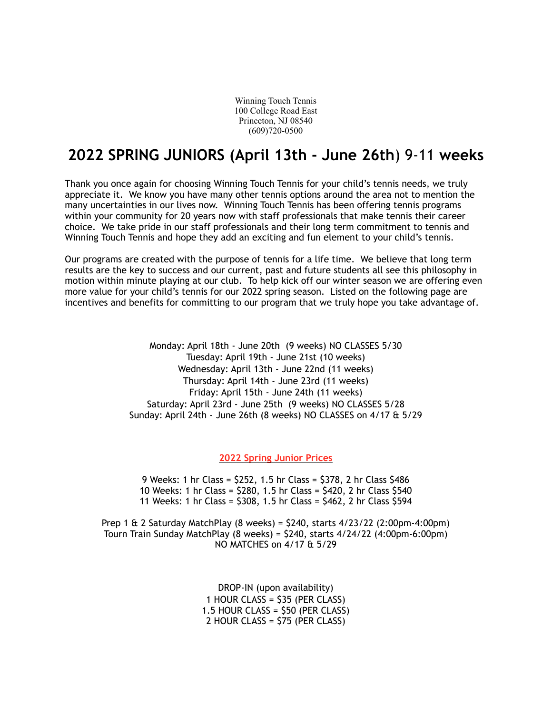Winning Touch Tennis 100 College Road East Princeton, NJ 08540 (609)720-0500

# **2022 SPRING JUNIORS (April 13th - June 26th**) 9-11 **weeks**

Thank you once again for choosing Winning Touch Tennis for your child's tennis needs, we truly appreciate it. We know you have many other tennis options around the area not to mention the many uncertainties in our lives now. Winning Touch Tennis has been offering tennis programs within your community for 20 years now with staff professionals that make tennis their career choice. We take pride in our staff professionals and their long term commitment to tennis and Winning Touch Tennis and hope they add an exciting and fun element to your child's tennis.

Our programs are created with the purpose of tennis for a life time. We believe that long term results are the key to success and our current, past and future students all see this philosophy in motion within minute playing at our club. To help kick off our winter season we are offering even more value for your child's tennis for our 2022 spring season. Listed on the following page are incentives and benefits for committing to our program that we truly hope you take advantage of.

> Monday: April 18th - June 20th (9 weeks) NO CLASSES 5/30 Tuesday: April 19th - June 21st (10 weeks) Wednesday: April 13th - June 22nd (11 weeks) Thursday: April 14th - June 23rd (11 weeks) Friday: April 15th - June 24th (11 weeks) Saturday: April 23rd - June 25th (9 weeks) NO CLASSES 5/28 Sunday: April 24th - June 26th (8 weeks) NO CLASSES on 4/17 & 5/29

> > **2022 Spring Junior Prices**

9 Weeks: 1 hr Class = \$252, 1.5 hr Class = \$378, 2 hr Class \$486 10 Weeks: 1 hr Class = \$280, 1.5 hr Class = \$420, 2 hr Class \$540 11 Weeks: 1 hr Class = \$308, 1.5 hr Class = \$462, 2 hr Class \$594

Prep 1 & 2 Saturday MatchPlay (8 weeks) = \$240, starts 4/23/22 (2:00pm-4:00pm) Tourn Train Sunday MatchPlay (8 weeks) = \$240, starts 4/24/22 (4:00pm-6:00pm) NO MATCHES on 4/17 & 5/29

> DROP-IN (upon availability) 1 HOUR CLASS = \$35 (PER CLASS) 1.5 HOUR CLASS = \$50 (PER CLASS) 2 HOUR CLASS = \$75 (PER CLASS)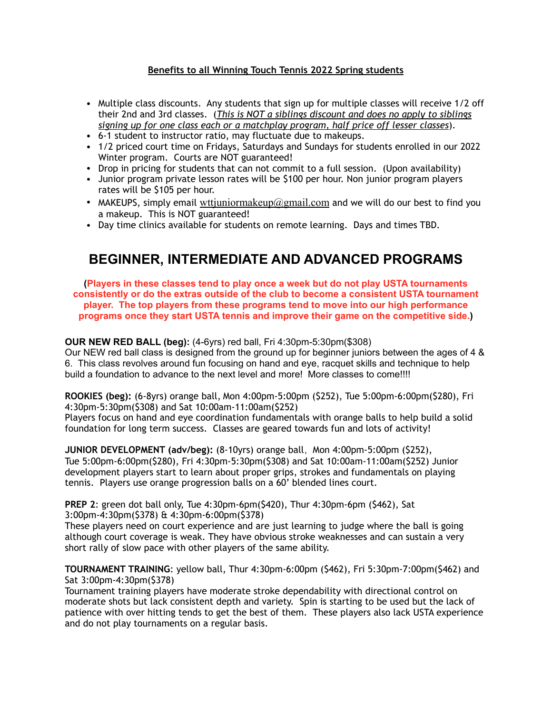## **Benefits to all Winning Touch Tennis 2022 Spring students**

- Multiple class discounts. Any students that sign up for multiple classes will receive 1/2 off their 2nd and 3rd classes. (*This is NOT a siblings discount and does no apply to siblings signing up for one class each or a matchplay program, half price off lesser classes*).
- 6-1 student to instructor ratio, may fluctuate due to makeups.
- 1/2 priced court time on Fridays, Saturdays and Sundays for students enrolled in our 2022 Winter program. Courts are NOT guaranteed!
- Drop in pricing for students that can not commit to a full session. (Upon availability)
- Junior program private lesson rates will be \$100 per hour. Non junior program players rates will be \$105 per hour.
- MAKEUPS, simply email wttjuniormakeup  $@g$  mail.com and we will do our best to find you a makeup. This is NOT guaranteed!
- Day time clinics available for students on remote learning. Days and times TBD.

## **BEGINNER, INTERMEDIATE AND ADVANCED PROGRAMS**

**(Players in these classes tend to play once a week but do not play USTA tournaments consistently or do the extras outside of the club to become a consistent USTA tournament player. The top players from these programs tend to move into our high performance programs once they start USTA tennis and improve their game on the competitive side.)**

## **OUR NEW RED BALL (beg):** (4-6yrs) red ball, Fri 4:30pm-5:30pm(\$308)

Our NEW red ball class is designed from the ground up for beginner juniors between the ages of 4 & 6. This class revolves around fun focusing on hand and eye, racquet skills and technique to help build a foundation to advance to the next level and more! More classes to come!!!!

**ROOKIES (beg):** (6-8yrs) orange ball, Mon 4:00pm-5:00pm (\$252), Tue 5:00pm-6:00pm(\$280), Fri 4:30pm-5:30pm(\$308) and Sat 10:00am-11:00am(\$252)

Players focus on hand and eye coordination fundamentals with orange balls to help build a solid foundation for long term success. Classes are geared towards fun and lots of activity!

**JUNIOR DEVELOPMENT (adv/beg):** (8-10yrs) orange ball , Mon 4:00pm-5:00pm (\$252), Tue 5:00pm-6:00pm(\$280), Fri 4:30pm-5:30pm(\$308) and Sat 10:00am-11:00am(\$252) Junior development players start to learn about proper grips, strokes and fundamentals on playing tennis. Players use orange progression balls on a 60' blended lines court.

**PREP 2**: green dot ball only, Tue 4:30pm-6pm(\$420), Thur 4:30pm-6pm (\$462), Sat 3:00pm-4:30pm(\$378) & 4:30pm-6:00pm(\$378)

These players need on court experience and are just learning to judge where the ball is going although court coverage is weak. They have obvious stroke weaknesses and can sustain a very short rally of slow pace with other players of the same ability.

**TOURNAMENT TRAINING**: yellow ball, Thur 4:30pm-6:00pm (\$462), Fri 5:30pm-7:00pm(\$462) and Sat 3:00pm-4:30pm(\$378)

Tournament training players have moderate stroke dependability with directional control on moderate shots but lack consistent depth and variety. Spin is starting to be used but the lack of patience with over hitting tends to get the best of them. These players also lack USTA experience and do not play tournaments on a regular basis.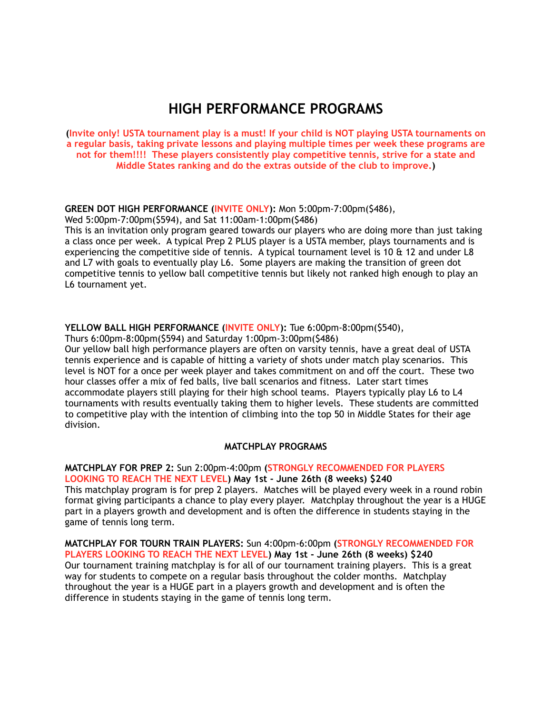# **HIGH PERFORMANCE PROGRAMS**

**(Invite only! USTA tournament play is a must! If your child is NOT playing USTA tournaments on a regular basis, taking private lessons and playing multiple times per week these programs are not for them!!!! These players consistently play competitive tennis, strive for a state and Middle States ranking and do the extras outside of the club to improve.)**

## **GREEN DOT HIGH PERFORMANCE (INVITE ONLY):** Mon 5:00pm-7:00pm(\$486),

Wed 5:00pm-7:00pm(\$594), and Sat 11:00am-1:00pm(\$486)

This is an invitation only program geared towards our players who are doing more than just taking a class once per week. A typical Prep 2 PLUS player is a USTA member, plays tournaments and is experiencing the competitive side of tennis. A typical tournament level is 10  $\&$  12 and under L8 and L7 with goals to eventually play L6. Some players are making the transition of green dot competitive tennis to yellow ball competitive tennis but likely not ranked high enough to play an L6 tournament yet.

### **YELLOW BALL HIGH PERFORMANCE (INVITE ONLY):** Tue 6:00pm-8:00pm(\$540),

Thurs 6:00pm-8:00pm(\$594) and Saturday 1:00pm-3:00pm(\$486)

Our yellow ball high performance players are often on varsity tennis, have a great deal of USTA tennis experience and is capable of hitting a variety of shots under match play scenarios. This level is NOT for a once per week player and takes commitment on and off the court. These two hour classes offer a mix of fed balls, live ball scenarios and fitness. Later start times accommodate players still playing for their high school teams. Players typically play L6 to L4 tournaments with results eventually taking them to higher levels. These students are committed to competitive play with the intention of climbing into the top 50 in Middle States for their age division.

#### **MATCHPLAY PROGRAMS**

### **MATCHPLAY FOR PREP 2:** Sun 2:00pm-4:00pm **(STRONGLY RECOMMENDED FOR PLAYERS LOOKING TO REACH THE NEXT LEVEL) May 1st - June 26th (8 weeks) \$240**

This matchplay program is for prep 2 players. Matches will be played every week in a round robin format giving participants a chance to play every player. Matchplay throughout the year is a HUGE part in a players growth and development and is often the difference in students staying in the game of tennis long term.

#### **MATCHPLAY FOR TOURN TRAIN PLAYERS:** Sun 4:00pm-6:00pm **(STRONGLY RECOMMENDED FOR PLAYERS LOOKING TO REACH THE NEXT LEVEL) May 1st - June 26th (8 weeks) \$240** Our tournament training matchplay is for all of our tournament training players. This is a great way for students to compete on a regular basis throughout the colder months. Matchplay throughout the year is a HUGE part in a players growth and development and is often the difference in students staying in the game of tennis long term.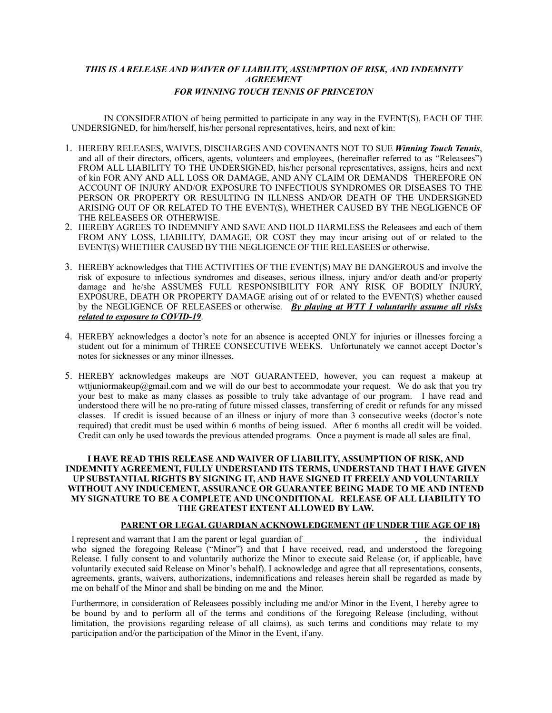## *THIS IS A RELEASE AND WAIVER OF LIABILITY, ASSUMPTION OF RISK, AND INDEMNITY AGREEMENT FOR WINNING TOUCH TENNIS OF PRINCETON*

IN CONSIDERATION of being permitted to participate in any way in the EVENT(S), EACH OF THE UNDERSIGNED, for him/herself, his/her personal representatives, heirs, and next of kin:

- 1. HEREBY RELEASES, WAIVES, DISCHARGES AND COVENANTS NOT TO SUE *Winning Touch Tennis*, and all of their directors, officers, agents, volunteers and employees, (hereinafter referred to as "Releasees") FROM ALL LIABILITY TO THE UNDERSIGNED, his/her personal representatives, assigns, heirs and next of kin FOR ANY AND ALL LOSS OR DAMAGE, AND ANY CLAIM OR DEMANDS THEREFORE ON ACCOUNT OF INJURY AND/OR EXPOSURE TO INFECTIOUS SYNDROMES OR DISEASES TO THE PERSON OR PROPERTY OR RESULTING IN ILLNESS AND/OR DEATH OF THE UNDERSIGNED ARISING OUT OF OR RELATED TO THE EVENT(S), WHETHER CAUSED BY THE NEGLIGENCE OF THE RELEASEES OR OTHERWISE.
- 2. HEREBY AGREES TO INDEMNIFY AND SAVE AND HOLD HARMLESS the Releasees and each of them FROM ANY LOSS, LIABILITY, DAMAGE, OR COST they may incur arising out of or related to the EVENT(S) WHETHER CAUSED BY THE NEGLIGENCE OF THE RELEASEES or otherwise.
- 3. HEREBY acknowledges that THE ACTIVITIES OF THE EVENT(S) MAY BE DANGEROUS and involve the risk of exposure to infectious syndromes and diseases, serious illness, injury and/or death and/or property damage and he/she ASSUMES FULL RESPONSIBILITY FOR ANY RISK OF BODILY INJURY, EXPOSURE, DEATH OR PROPERTY DAMAGE arising out of or related to the EVENT(S) whether caused by the NEGLIGENCE OF RELEASEES or otherwise. *By playing at WTT I voluntarily assume all risks related to exposure to COVID-19*.
- 4. HEREBY acknowledges a doctor's note for an absence is accepted ONLY for injuries or illnesses forcing a student out for a minimum of THREE CONSECUTIVE WEEKS. Unfortunately we cannot accept Doctor's notes for sicknesses or any minor illnesses.
- 5. HEREBY acknowledges makeups are NOT GUARANTEED, however, you can request a makeup at wttjuniormakeup@gmail.com and we will do our best to accommodate your request. We do ask that you try your best to make as many classes as possible to truly take advantage of our program. I have read and understood there will be no pro-rating of future missed classes, transferring of credit or refunds for any missed classes. If credit is issued because of an illness or injury of more than 3 consecutive weeks (doctor's note required) that credit must be used within 6 months of being issued. After 6 months all credit will be voided. Credit can only be used towards the previous attended programs. Once a payment is made all sales are final.

#### **I HAVE READ THIS RELEASE AND WAIVER OF LIABILITY, ASSUMPTION OF RISK, AND INDEMNITY AGREEMENT, FULLY UNDERSTAND ITS TERMS, UNDERSTAND THAT I HAVE GIVEN UP SUBSTANTIAL RIGHTS BY SIGNING IT, AND HAVE SIGNED IT FREELY AND VOLUNTARILY WITHOUT ANY INDUCEMENT, ASSURANCE OR GUARANTEE BEING MADE TO ME AND INTEND MY SIGNATURE TO BE A COMPLETE AND UNCONDITIONAL RELEASE OF ALL LIABILITY TO THE GREATEST EXTENT ALLOWED BY LAW.**

#### **PARENT OR LEGAL GUARDIAN ACKNOWLEDGEMENT (IF UNDER THE AGE OF 18)**

I represent and warrant that I am the parent or legal guardian of , the individual who signed the foregoing Release ("Minor") and that I have received, read, and understood the foregoing Release. I fully consent to and voluntarily authorize the Minor to execute said Release (or, if applicable, have voluntarily executed said Release on Minor's behalf). I acknowledge and agree that all representations, consents, agreements, grants, waivers, authorizations, indemnifications and releases herein shall be regarded as made by me on behalf of the Minor and shall be binding on me and the Minor.

Furthermore, in consideration of Releasees possibly including me and/or Minor in the Event, I hereby agree to be bound by and to perform all of the terms and conditions of the foregoing Release (including, without limitation, the provisions regarding release of all claims), as such terms and conditions may relate to my participation and/or the participation of the Minor in the Event, if any.